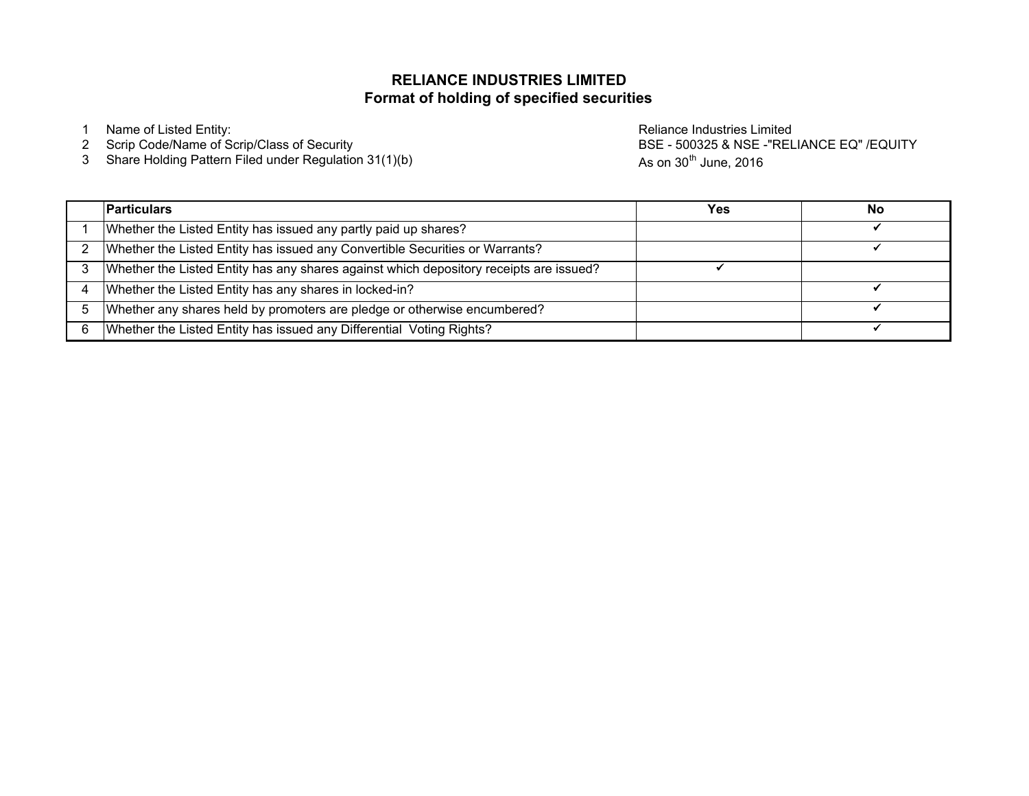### **Format of holding of specified securitiesRELIANCE INDUSTRIES LIMITED**

<sup>3</sup> Share Holding Pattern Filed under Regulation 31(1)(b)

1 Name of Listed Entity:<br>2 Scrip Code/Name of Scrip/Class of Security and the control of the Reliance Industries Limited Scrip Code/Name<br>2 Scrip Code/Name of Scrip/Class of Security and the control of the control of the BS BSE - 500325 & NSE -"RELIANCE EQ" /EQUITYAs on  $30<sup>th</sup>$  June, 2016

| <b>Particulars</b>                                                                     | Yes | No |
|----------------------------------------------------------------------------------------|-----|----|
| Whether the Listed Entity has issued any partly paid up shares?                        |     |    |
| Whether the Listed Entity has issued any Convertible Securities or Warrants?           |     |    |
| Whether the Listed Entity has any shares against which depository receipts are issued? |     |    |
| Whether the Listed Entity has any shares in locked-in?                                 |     |    |
| Whether any shares held by promoters are pledge or otherwise encumbered?               |     |    |
| Whether the Listed Entity has issued any Differential Voting Rights?                   |     |    |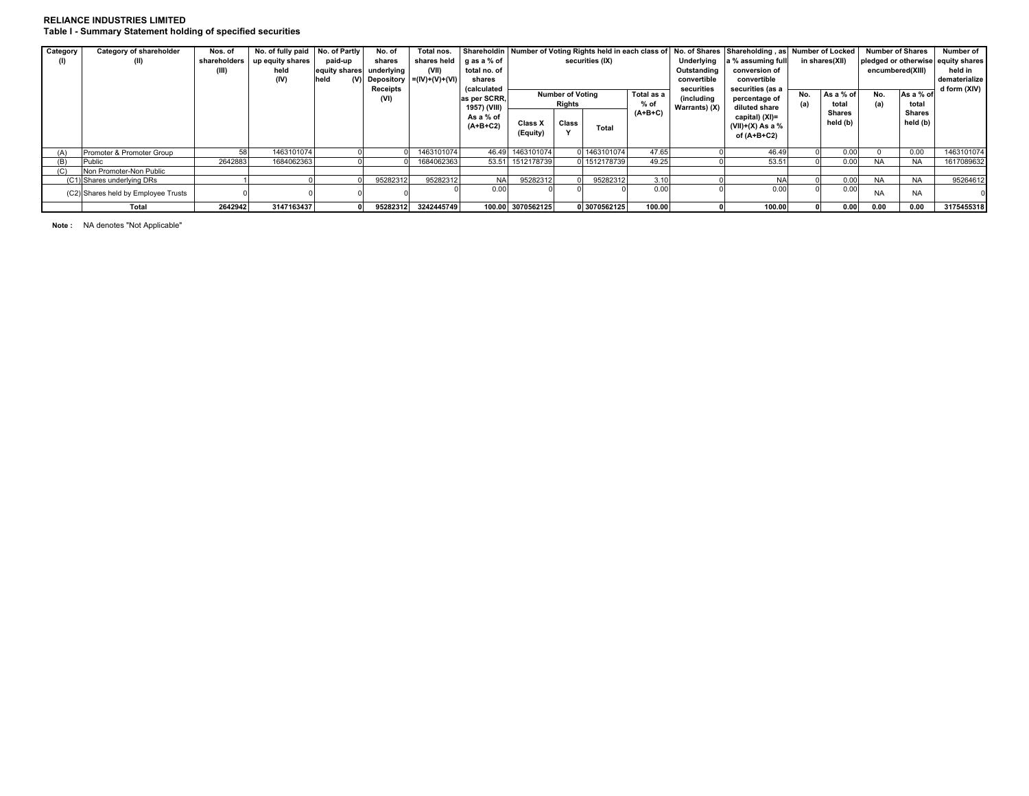#### **RELIANCE INDUSTRIES LIMITEDTable I - Summary Statement holding of specified securities**

| Category | Category of shareholder             | Nos. of      | No. of fully paid No. of Partly |                          | No. of   | Total nos.                       |                        |                                       |        |              |               |                   | Shareholdin   Number of Voting Rights held in each class of   No. of Shares   Shareholding, as   Number of Locked |                |                                    | <b>Number of Shares</b> |              | Number of     |
|----------|-------------------------------------|--------------|---------------------------------|--------------------------|----------|----------------------------------|------------------------|---------------------------------------|--------|--------------|---------------|-------------------|-------------------------------------------------------------------------------------------------------------------|----------------|------------------------------------|-------------------------|--------------|---------------|
| (1)      | (II)                                | shareholders | up equity shares                | paid-up                  | shares   |                                  | shares held gas a % of | securities (IX)                       |        |              | Underlying    | a % assuming full |                                                                                                                   | in shares(XII) | pledged or otherwise equity shares |                         |              |               |
|          |                                     | (III)        | held                            | equity shares underlying |          | (VII)                            | total no. of           |                                       |        |              |               | Outstanding       | conversion of                                                                                                     |                |                                    | encumbered(XIII)        |              | held in       |
|          |                                     |              | (IV)                            | held                     |          | (V) Depository $= (IV)+(V)+(VI)$ | shares                 |                                       |        |              |               | convertible       | convertible                                                                                                       |                |                                    |                         |              | dematerialize |
|          |                                     |              |                                 |                          | Receipts |                                  | (calculated            |                                       |        |              | securities    | securities (as a  | As a % of<br>No.                                                                                                  |                | As a % of<br>No.                   |                         | d form (XIV) |               |
|          |                                     |              |                                 |                          | (VI)     |                                  | as per SCRR.           | <b>Number of Voting</b><br>Total as a |        | (including   | percentage of |                   |                                                                                                                   |                |                                    |                         |              |               |
|          |                                     |              |                                 |                          |          |                                  | 1957) (VIII)           |                                       | Rights |              | $%$ of        | Warrants) (X)     | diluted share                                                                                                     | (a)            | total                              | (a)                     | total        |               |
|          |                                     |              |                                 |                          |          |                                  | As a % of              |                                       |        |              | $(A+B+C)$     |                   | capital) (XI)=                                                                                                    |                | Shares                             |                         | Shares       |               |
|          |                                     |              |                                 |                          |          |                                  | $(A+B+C2)$             | Class X                               | Class  | Total        |               |                   | (VII)+(X) As a $\%$                                                                                               |                | held (b)                           |                         | held (b)     |               |
|          |                                     |              |                                 |                          |          |                                  |                        | (Equity)                              |        |              |               |                   | of (A+B+C2)                                                                                                       |                |                                    |                         |              |               |
|          |                                     |              |                                 |                          |          |                                  |                        |                                       |        |              |               |                   |                                                                                                                   |                |                                    |                         |              |               |
| (A)      | Promoter & Promoter Group           |              | 1463101074                      |                          |          | 1463101074                       |                        | 46.49 1463101074                      |        | 0 1463101074 | 47.65         |                   | 46.49                                                                                                             |                | 0.00                               |                         | 0.00         | 1463101074    |
| (B)      | Public                              | 2642883      | 1684062363                      |                          |          | 1684062363                       | 53.51                  | 1512178739                            |        | 0 1512178739 | 49.25         |                   | 53.51                                                                                                             |                | 0.00                               | <b>NA</b>               | <b>NA</b>    | 1617089632    |
| (C)      | Non Promoter-Non Public             |              |                                 |                          |          |                                  |                        |                                       |        |              |               |                   |                                                                                                                   |                |                                    |                         |              |               |
|          | (C1) Shares underlying DRs          |              |                                 |                          | 95282312 | 95282312                         | <b>NA</b>              | 95282312                              |        | 95282312     | 3.10          |                   | <b>NA</b>                                                                                                         |                | 0.00                               | <b>NA</b>               | <b>NA</b>    | 95264612      |
|          | (C2) Shares held by Employee Trusts |              |                                 |                          |          |                                  | 0.00                   |                                       |        |              | 0.00          |                   | 0.00                                                                                                              |                | 0.00                               | <b>NA</b>               | <b>NA</b>    |               |
|          |                                     |              |                                 |                          |          |                                  |                        |                                       |        |              |               |                   |                                                                                                                   |                |                                    |                         |              |               |
|          | Total                               | 2642942      | 3147163437                      |                          | 95282312 | 3242445749                       |                        | 100.00 3070562125                     |        | 0 3070562125 | 100.00        |                   | 100.00                                                                                                            |                | 0.00                               | 0.00                    | 0.00         | 3175455318    |

**Note :** NA denotes "Not Applicable"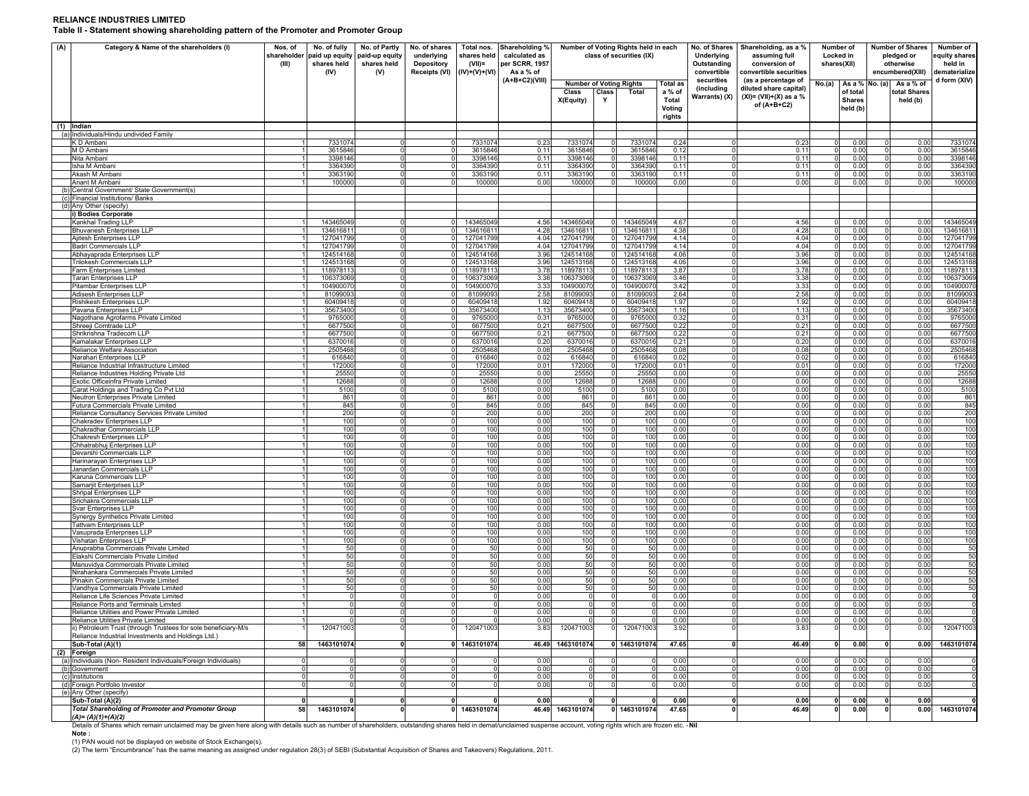#### **RELIANCE INDUSTRIES LIMITED**

**Table II - Statement showing shareholding pattern of the Promoter and Promoter Group**

| (A) | Category & Name of the shareholders (I)                                                                                                                                                                                                     | Nos. of<br>shareholder<br>(III) | No. of fully<br>paid up equity<br>shares held<br>(IV) | No. of Partly<br>paid-up equity<br>shares held<br>(V) | No. of shares<br>underlying<br>Depository<br>Receipts (VI) | Total nos.<br>shares held<br>$(VII)$ =<br>$(IV)+(V)+(VI)$ | Shareholding %<br>calculated as<br>per SCRR, 1957<br>As a % of | Number of Voting Rights held in each<br>class of securities (IX) |                                  | No. of Shares<br>Underlying<br>Outstanding<br>convertible | Shareholding, as a %<br>assuming full<br>conversion of<br>convertible securities | Number of<br>Locked in<br>shares(XII)     |                                                                                           | <b>Number of Shares</b><br>pledged or<br>otherwise<br>encumbered(XIII) | Number of<br>equity shares<br>held in<br>dematerialize |                                                      |                      |
|-----|---------------------------------------------------------------------------------------------------------------------------------------------------------------------------------------------------------------------------------------------|---------------------------------|-------------------------------------------------------|-------------------------------------------------------|------------------------------------------------------------|-----------------------------------------------------------|----------------------------------------------------------------|------------------------------------------------------------------|----------------------------------|-----------------------------------------------------------|----------------------------------------------------------------------------------|-------------------------------------------|-------------------------------------------------------------------------------------------|------------------------------------------------------------------------|--------------------------------------------------------|------------------------------------------------------|----------------------|
|     |                                                                                                                                                                                                                                             |                                 |                                                       |                                                       |                                                            |                                                           | $(A+B+C2)(VIII)$                                               | <b>Number of Voting Rights</b><br>Class<br>X(Equity)             | Class<br>Y                       | Total                                                     | <b>Total as</b><br>a % of<br>Total<br>Voting<br>rights                           | securities<br>(including<br>Warrants) (X) | (as a percentage of<br>diluted share capital)<br>$(XI) = (VII)+(X)$ as a %<br>of (A+B+C2) | No.(a)                                                                 | of total<br><b>Shares</b><br>held (b)                  | As a % No. (a) As a % of<br>total Shares<br>held (b) | d form (XIV)         |
|     | (1) Indian<br>(a) Individuals/Hindu undivided Family                                                                                                                                                                                        |                                 |                                                       |                                                       |                                                            |                                                           |                                                                |                                                                  |                                  |                                                           |                                                                                  |                                           |                                                                                           |                                                                        |                                                        |                                                      |                      |
|     | K D Ambani                                                                                                                                                                                                                                  |                                 | 7331074                                               | $\mathbf 0$                                           | $\Omega$                                                   | 7331074                                                   | 0.23                                                           | 7331074                                                          | $\mathbf 0$                      | 7331074                                                   | 0.24                                                                             | $\Omega$                                  | 0.23                                                                                      | $\mathbf 0$                                                            | 0.00                                                   | 0.00                                                 | 7331074              |
|     | M D Ambani                                                                                                                                                                                                                                  | $\mathbf{1}$                    | 3615846                                               | $\mathbf 0$                                           | $\Omega$                                                   | 3615846                                                   | 0.11                                                           | 3615846                                                          | $\Omega$                         | 3615846                                                   | 0.12                                                                             | $\Omega$                                  | 0.11                                                                                      | $\Omega$                                                               | 0.00                                                   | 0.00<br>$\Omega$                                     | 3615846              |
|     | Nita Ambani<br>Isha M Ambar                                                                                                                                                                                                                 | $\overline{1}$<br>$\mathbf{1}$  | 3398146<br>3364390                                    | $\Omega$<br> 0                                        | $\Omega$<br>$\Omega$                                       | 3398146<br>3364390                                        | 0.11<br>0.11                                                   | 3398146<br>3364390                                               | $\circ$<br>$\circ$               | 3398146<br>3364390                                        | 0.11<br>0.11                                                                     | $\circ$<br>$\circ$                        | 0.11<br>0.11                                                                              | $\circ$<br>$\overline{0}$                                              | 0.00<br>0.00                                           | 0.00<br>$\Omega$<br>0.00<br>$\Omega$                 | 3398146<br>3364390   |
|     | Akash M Amban                                                                                                                                                                                                                               | 1                               | 3363190                                               | $\circ$                                               | $\Omega$                                                   | 3363190                                                   | 0.11                                                           | 3363190                                                          | $\Omega$                         | 3363190                                                   | 0.11                                                                             | $\circ$                                   | 0.11                                                                                      | $\Omega$                                                               | 0.00                                                   | O<br>0.00                                            | 3363190              |
|     | Anant M Ambani<br>(b) Central Government/ State Government(s)                                                                                                                                                                               |                                 | 100000                                                | $\Omega$                                              | $\Omega$                                                   | 100000                                                    | 0.00                                                           | 100000                                                           | $\Omega$                         | 100000                                                    | 0.00                                                                             | $\Omega$                                  | 0.00                                                                                      | $\Omega$                                                               | 0.00                                                   | 0.00                                                 | 100000               |
|     | (c) Financial Institutions/ Banks                                                                                                                                                                                                           |                                 |                                                       |                                                       |                                                            |                                                           |                                                                |                                                                  |                                  |                                                           |                                                                                  |                                           |                                                                                           |                                                                        |                                                        |                                                      |                      |
|     | (d) Any Other (specify)                                                                                                                                                                                                                     |                                 |                                                       |                                                       |                                                            |                                                           |                                                                |                                                                  |                                  |                                                           |                                                                                  |                                           |                                                                                           |                                                                        |                                                        |                                                      |                      |
|     | i) Bodies Corporate<br>Kankhal Trading LLF                                                                                                                                                                                                  |                                 | 143465049                                             | $\mathbf 0$                                           | $\Omega$                                                   | 143465049                                                 | 4.56                                                           | 143465049                                                        |                                  | 143465049                                                 | 4.67                                                                             | 0                                         | 4.56                                                                                      | $\mathbf 0$                                                            | 0.00                                                   | 0.00<br>0                                            | 143465049            |
|     | Bhuvanesh Enterprises LLP                                                                                                                                                                                                                   |                                 | 134616811                                             | $\Omega$                                              | $\Omega$                                                   | 134616811                                                 | 4.28                                                           | 134616811                                                        | $\mathbf{0}$                     | 134616811                                                 | 4.38                                                                             | $\mathbf 0$                               | 4.28                                                                                      | $\mathbf 0$                                                            | 0.00                                                   | 0.00<br>$\Omega$                                     | 13461681             |
|     | Ajitesh Enterprises LLP                                                                                                                                                                                                                     |                                 | 127041799                                             | 0                                                     | $\mathbf 0$                                                | 127041799                                                 | 4.04                                                           | 127041799                                                        | 0                                | 127041799                                                 | 4.14                                                                             | $\circ$                                   | 4.04                                                                                      | $^{\circ}$                                                             | 0.00                                                   | 0.00                                                 | 12704179             |
|     | Badri Commercials LLP<br>Abhayaprada Enterprises LLP                                                                                                                                                                                        | $\overline{1}$                  | 127041799<br>124514168                                | $\mathbf 0$<br>$\overline{0}$                         | 0<br>$\Omega$                                              | 127041799<br>124514168                                    | 4.04<br>3.96                                                   | 127041799<br>124514168                                           | $\mathbf 0$<br>$\mathbf 0$       | 127041799<br>124514168                                    | 4.14<br>4.06                                                                     | $\circ$<br>$\circ$                        | 4.04<br>3.96                                                                              | $^{\circ}$<br>$\mathbf 0$                                              | 0.00<br>0.00                                           | 0.00<br>$\Omega$<br>0.00<br>0                        | 12704179<br>12451416 |
|     | <b>Trilokesh Commercials LLP</b>                                                                                                                                                                                                            | -11                             | 124513168                                             | $\mathbf 0$                                           | $\Omega$                                                   | 124513168                                                 | 3.96                                                           | 124513168                                                        | $\circ$                          | 124513168                                                 | 4.06                                                                             | $\circ$                                   | 3.96                                                                                      | 0                                                                      | 0.00                                                   | 0.00<br>0                                            | 12451316             |
|     | Farm Enterprises Limited                                                                                                                                                                                                                    | -11                             | 118978113                                             | $\mathbf 0$                                           | $\Omega$                                                   | 118978113                                                 | 3.78                                                           | 118978113                                                        | $\mathbf 0$                      | 118978113                                                 | 3.87                                                                             | $\circ$                                   | 3.78                                                                                      | 0                                                                      | 0.00                                                   | 0.00<br>0                                            | 11897811             |
|     | <b>Taran Enterprises LLP</b><br>Pitambar Enterprises LLP                                                                                                                                                                                    | -11<br>-11                      | 106373069<br>104900070                                | $\circ$<br>$\overline{0}$                             | $\Omega$<br>$\overline{0}$                                 | 106373069<br>104900070                                    | 3.38<br>3.33                                                   | 106373069<br>104900070                                           | $^{\circ}$<br> 0                 | 106373069<br>10490007                                     | 3.46<br>3.42                                                                     | $\circ$<br>$\circ$                        | 3.38<br>3.33                                                                              | $^{\circ}$<br>$\overline{0}$                                           | 0.00<br>0.00                                           | 0.00<br>0<br>0.00<br>0                               | 10637306<br>10490007 |
|     | Adisesh Enterprises LLP                                                                                                                                                                                                                     | $\overline{1}$                  | 81099093                                              | $\overline{0}$                                        | $\overline{0}$                                             | 81099093                                                  | 2.58                                                           | 81099093                                                         | $^{\circ}$                       | 81099093                                                  | 2.64                                                                             | $\circ$                                   | 2.58                                                                                      | $\overline{0}$                                                         | 0.00                                                   | 0.00<br>0                                            | 8109909              |
|     | Rishikesh Enterprises LLF<br>Pavana Enterprises LLP                                                                                                                                                                                         | $\mathbf{1}$<br>-1              | 60409418<br>35673400                                  | $\mathbf 0$<br>$\Omega$                               | 0 <br>$\Omega$                                             | 60409418                                                  | 1.92<br>1.13                                                   | 60409418                                                         | $\mathbf 0$<br>$\overline{0}$    | 60409418<br>35673400                                      | 1.97<br>1.16                                                                     | $^{\circ}$<br>$^{\circ}$                  | 1.92<br>1.13                                                                              | $\mathbf 0$<br>$\mathbf 0$                                             | 0.00<br>0.00                                           | 0.00<br>0<br>0.00<br>0                               | 60409418<br>35673400 |
|     | Nagothane Agrofarms Private Limited                                                                                                                                                                                                         | $\mathbf{1}$                    | 9765000                                               | 0                                                     | $\Omega$                                                   | 35673400<br>9765000                                       | 0.31                                                           | 35673400<br>9765000                                              | $\mathbf 0$                      | 9765000                                                   | 0.32                                                                             | $^{\circ}$                                | 0.31                                                                                      | $\mathbf 0$                                                            | 0.00                                                   | 0.00<br>0                                            | 9765000              |
|     | Shreeji Comtrade LLP                                                                                                                                                                                                                        | $\overline{1}$                  | 6677500                                               | $\Omega$                                              | $\Omega$                                                   | 6677500                                                   | 0.21                                                           | 6677500                                                          | $\Omega$                         | 6677500                                                   | 0.22                                                                             | $\Omega$                                  | 0.21                                                                                      | $\Omega$                                                               | 0.00                                                   | 0.00<br>$\Omega$                                     | 6677500              |
|     | Shrikrishna Tradecom LLP<br>Kamalakar Enterprises LLF                                                                                                                                                                                       | $\overline{1}$<br>1             | 6677500<br>6370016                                    | 0 <br> 0                                              | $\Omega$<br>$\Omega$                                       | 6677500<br>6370016                                        | 0.21<br>0.20                                                   | 6677500<br>6370016                                               | $\overline{0}$<br>$\overline{0}$ | 6677500<br>6370016                                        | 0.22<br>0.21                                                                     | $\circ$<br>$\circ$                        | 0.21<br>0.20                                                                              | $\overline{0}$<br> 0                                                   | 0.00<br>0.00                                           | 0.00<br>0<br>0.00<br>$\Omega$                        | 6677500<br>637001    |
|     | Reliance Welfare Association                                                                                                                                                                                                                | 1                               | 2505468                                               | $\circ$                                               | $\circ$                                                    | 2505468                                                   | 0.08                                                           | 2505468                                                          | $\overline{0}$                   | 2505468                                                   | 0.08                                                                             | $\circ$                                   | 0.08                                                                                      | $\overline{0}$                                                         | 0.00                                                   | $\Omega$<br>0.00                                     | 2505468              |
|     | Narahari Enterprises LLP                                                                                                                                                                                                                    | 1                               | 616840                                                | $\circ$                                               | $\Omega$                                                   | 616840                                                    | 0.02                                                           | 616840                                                           | $\circ$                          | 616840                                                    | 0.02                                                                             | $\circ$                                   | 0.02                                                                                      | $\circ$                                                                | 0.00                                                   | $\circ$<br>0.00                                      | 616840               |
|     | Reliance Industrial Infrastructure Limited<br>Reliance Industries Holding Private Ltd                                                                                                                                                       | 1<br>1                          | 172000<br>25550                                       | $\circ$<br>$\mathsf{O}$                               | $\Omega$<br>$\Omega$                                       | 172000<br>25550                                           | 0.01<br>0.00                                                   | 172000<br>25550                                                  | $\circ$<br>$\circ$               | 172000<br>25550                                           | 0.01<br>0.00                                                                     | $\overline{0}$<br>$\circ$                 | 0.01<br>0.00                                                                              | $\circ$<br>$\overline{0}$                                              | 0.00<br>0.00                                           | $\circ$<br>0.00<br>$\Omega$<br>0.00                  | 172000<br>2555       |
|     | Exotic Officeinfra Private Limited                                                                                                                                                                                                          | $\mathbf{1}$                    | 12688                                                 | $\circ$                                               | $\Omega$                                                   | 12688                                                     | 0.00                                                           | 12688                                                            | $\circ$                          | 12688                                                     | 0.00                                                                             | $\circ$                                   | 0.00                                                                                      | $\circ$                                                                | 0.00                                                   | $\Omega$<br>0.00                                     | 12688                |
|     | Carat Holdings and Trading Co Pvt Ltd                                                                                                                                                                                                       | 1                               | 5100                                                  | $\overline{0}$                                        | $\Omega$                                                   | 5100                                                      | 0.00                                                           | 5100                                                             | $\circ$                          | 5100                                                      | 0.00                                                                             | $\overline{0}$                            | 0.00                                                                                      | $\overline{0}$                                                         | 0.00                                                   | $\circ$<br>0.00                                      | 5100                 |
|     | Neutron Enterprises Private Limited<br>Futura Commercials Private Limited                                                                                                                                                                   | $\overline{1}$<br>$\mathbf{1}$  | 861<br>845                                            | $\overline{0}$<br>$\mathbf 0$                         | 0 <br>$\mathbf 0$                                          | 861<br>845                                                | 0.00<br>0.00                                                   | 861<br>845                                                       | $\circ$<br>$\Omega$              | 861<br>845                                                | 0.00<br>0.00                                                                     | $\overline{0}$<br>$\mathbf 0$             | 0.00<br>0.00                                                                              | $\overline{0}$<br>$\overline{0}$                                       | 0.00<br>0.00                                           | $\circ$<br>0.00<br>$\Omega$<br>0.00                  | 861<br>845           |
|     | Reliance Consultancy Services Private Limited                                                                                                                                                                                               |                                 | 200                                                   | $\mathbf 0$                                           | 0                                                          | 200                                                       | 0.00                                                           | 200                                                              |                                  | 200                                                       | 0.00                                                                             | 0                                         | 0.00                                                                                      | $^{\circ}$                                                             | 0.00                                                   | 0.00                                                 | 200                  |
|     | Chakradev Enterprises LLP                                                                                                                                                                                                                   |                                 | 100                                                   | $\mathbf 0$<br>$\Omega$                               | 0<br>$\Omega$                                              | 100                                                       | 0.00                                                           | 100                                                              | $^{\circ}$                       | 100                                                       | 0.00                                                                             | 0                                         | 0.00                                                                                      | $^{\circ}$                                                             | 0.00                                                   | 0.00                                                 | 100                  |
|     | Chakradhar Commercials LLP<br>Chakresh Enterprises LLP                                                                                                                                                                                      |                                 | 100<br>100                                            | 0                                                     | $\mathbf 0$                                                | 100<br>100                                                | 0.00<br>0.00                                                   | 100<br>100                                                       | $\mathbf 0$<br>$\mathbf 0$       | 100<br>100                                                | 0.00<br>0.00                                                                     | $\mathbf 0$<br>$\circ$                    | 0.00<br>0.00                                                                              | $\mathbf 0$<br>$\mathbf 0$                                             | 0.00<br>0.00                                           | 0.00<br>$\Omega$<br>0.00<br>$\Omega$                 | 100<br>100           |
|     | Chhatrabhuj Enterprises LLP                                                                                                                                                                                                                 |                                 | 100                                                   | 0                                                     | $\mathbf 0$                                                | 100                                                       | 0.00                                                           | 100                                                              | $\mathbf 0$                      | 100                                                       | 0.00                                                                             | $\mathbf 0$                               | 0.00                                                                                      | $^{\circ}$                                                             | 0.00                                                   | 0.00<br>0                                            | 100                  |
|     | Devarshi Commercials LLP<br>Harinarayan Enterprises LLP                                                                                                                                                                                     |                                 | 100<br>100                                            | $\Omega$<br>0                                         | $\Omega$<br>$\Omega$                                       | 100<br>100                                                | 0.00<br>0.00                                                   | 100<br>100                                                       | $\mathbf 0$<br>$^{\circ}$        | 100<br>100                                                | 0.00<br>0.00                                                                     | $\mathbf 0$<br>$\mathbf 0$                | 0.00<br>0.00                                                                              | $^{\circ}$<br>0                                                        | 0.00<br>0.00                                           | $\mathbf 0$<br>0.00<br>0.00<br>0                     | 100<br>100           |
|     | Janardan Commercials LLP                                                                                                                                                                                                                    |                                 | 100                                                   | $\mathbf 0$                                           | $\Omega$                                                   | 100                                                       | 0.00                                                           | 100                                                              | 0                                | 100                                                       | 0.00                                                                             | $\mathbf 0$                               | 0.00                                                                                      | 0                                                                      | 0.00                                                   | 0.00<br>0                                            | 100                  |
|     | Karuna Commercials LLP                                                                                                                                                                                                                      | 1                               | 100                                                   | $\mathbf 0$                                           | 0                                                          | 100                                                       | 0.00                                                           | 100                                                              | $\circ$                          | 100                                                       | 0.00                                                                             | $\mathbf 0$                               | 0.00                                                                                      | $\overline{0}$                                                         | 0.00                                                   | 0.00<br>$\circ$                                      | 100                  |
|     | Samarjit Enterprises LLP<br><b>Shripal Enterprises LLP</b>                                                                                                                                                                                  | -1<br>1                         | 100<br>100                                            | 0 <br>$\overline{0}$                                  | 0 <br> 0                                                   | 100<br>100                                                | 0.00<br>0.00                                                   | 100<br>100                                                       | 0 <br> 0                         | 100<br>100                                                | 0.00<br>0.00                                                                     | $\circ$<br>$\circ$                        | 0.00<br>0.00                                                                              | $\overline{0}$<br>$\overline{0}$                                       | 0.00<br>0.00                                           | 0.00<br>$\circ$<br>0.00<br>$\circ$                   | 100<br>100           |
|     | Srichakra Commercials LLP                                                                                                                                                                                                                   | -1                              | 100                                                   | $\mathbf 0$                                           | 0                                                          | 100                                                       | 0.00                                                           | 100                                                              | $\circ$                          | 100                                                       | 0.00                                                                             | $\circ$                                   | 0.00                                                                                      | $\mathbf 0$                                                            | 0.00                                                   | 0.00<br>$\circ$                                      | 100                  |
|     | Svar Enterprises LLP                                                                                                                                                                                                                        | 1                               | 100                                                   | 0                                                     | 0                                                          | 100                                                       | 0.00                                                           | 100                                                              | $\mathbf 0$                      | 100                                                       | 0.00                                                                             | $^{\circ}$                                | 0.00                                                                                      | $\mathbf 0$                                                            | 0.00                                                   | 0.00<br>$^{\circ}$                                   | 100                  |
|     | Synergy Synthetics Private Limited<br><b>Tattvam Enterprises LLP</b>                                                                                                                                                                        | 1<br>$\mathbf{1}$               | 100<br>100                                            | 0 <br>$\Omega$                                        | 0 <br>$\overline{0}$                                       | 100<br>100                                                | 0.00<br>0.00                                                   | 100<br>100                                                       | $\mathbf 0$<br>$\Omega$          | 100<br>100                                                | 0.00<br>0.00                                                                     | $^{\circ}$<br>$\Omega$                    | 0.00<br>0.00                                                                              | $\circ$<br>$\Omega$                                                    | 0.00<br>0.00                                           | $\circ$<br>0.00<br>0.00<br>$\Omega$                  | 100<br>100           |
|     | Vasuprada Enterprises LLF                                                                                                                                                                                                                   | 1                               | 100                                                   | 0                                                     | 0                                                          | 100                                                       | 0.00                                                           | 100                                                              | $\overline{0}$                   | 100                                                       | 0.00                                                                             | $^{\circ}$                                | 0.00                                                                                      | $\circ$                                                                | 0.00                                                   | 0.00<br>$\Omega$                                     | 100                  |
|     | Vishatan Enterprises LLP                                                                                                                                                                                                                    | 11<br>1                         | 100                                                   | 0 <br> 0                                              | 0 <br>$\overline{0}$                                       | 100                                                       | 0.00<br>0.00                                                   | 100                                                              | $\overline{0}$<br>$\Omega$       | 100                                                       | 0.00<br>0.00                                                                     | $\circ$                                   | 0.00<br>0.00                                                                              | $\circ$<br>$\overline{0}$                                              | 0.00                                                   | 0.00<br>0<br>$\Omega$                                | 100                  |
|     | Anuprabha Commercials Private Limited<br>Elakshi Commercials Private Limited                                                                                                                                                                | 1                               | 50<br>50                                              | $\circ$                                               | $\overline{0}$                                             | 50<br>50                                                  | 0.00                                                           | 50<br>50                                                         | $\overline{0}$                   | 50<br>50                                                  | 0.00                                                                             | $\circ$<br>$\circ$                        | 0.00                                                                                      | $\overline{0}$                                                         | 0.00<br>0.00                                           | 0.00<br>$\circ$<br>0.00                              | 50<br>50             |
|     | Manuvidya Commercials Private Limited                                                                                                                                                                                                       | 1                               | 50                                                    | $\circ$                                               | $\overline{0}$                                             | 50                                                        | 0.00                                                           | 50                                                               | $\mathbf 0$                      | 50                                                        | 0.00                                                                             | $\circ$                                   | 0.00                                                                                      | $\circ$                                                                | 0.00                                                   | $\Omega$<br>0.00                                     | 50                   |
|     | Nirahankara Commercials Private Limited<br>Pinakin Commercials Private Limited                                                                                                                                                              | $\mathbf{1}$<br>$\mathbf{1}$    | 50<br>50                                              | $\mathsf{O}$<br>$\Omega$                              | $\Omega$<br>$\Omega$                                       | 50<br>50                                                  | 0.00<br>0.00                                                   | 50<br>50                                                         | $\Omega$<br>$\mathbf 0$          | 50<br>50                                                  | 0.00<br>0.00                                                                     | $\circ$<br>$\circ$                        | 0.00<br>0.00                                                                              | 0<br> 0                                                                | 0.00<br>0.00                                           | $\Omega$<br>0.00<br>$\Omega$<br>0.00                 | 50<br>50             |
|     | Vandhya Commercials Private Limited                                                                                                                                                                                                         | $\mathbf{1}$                    | 50                                                    | ō                                                     | $\overline{0}$                                             | 50                                                        | 0.00                                                           | 50                                                               | $\mathbf 0$                      | 50                                                        | 0.00                                                                             | $\overline{0}$                            | 0.00                                                                                      | $\overline{0}$                                                         | 0.00                                                   | $\overline{0}$<br>0.00                               | 50                   |
|     | Reliance Life Sciences Private Limited                                                                                                                                                                                                      | $\mathbf{1}$                    | $\Omega$                                              | ō                                                     | ō                                                          | $\mathbf 0$                                               | 0.00                                                           | $\Omega$                                                         | $\mathbf 0$                      | $\overline{0}$                                            | 0.00                                                                             | $\overline{0}$                            | 0.00                                                                                      | $\overline{0}$                                                         | 0.00                                                   | $\Omega$<br>0.00                                     |                      |
|     | Reliance Ports and Terminals Limited<br>Reliance Utilities and Power Private Limited                                                                                                                                                        | 1                               | $\mathbf 0$<br>$\Omega$                               | $\mathbf 0$<br>$\Omega$                               | $\Omega$<br>0                                              | $\mathbf 0$<br>$\Omega$                                   | 0.00<br>0.00                                                   | $\Omega$<br>$\Omega$                                             | $\mathbf 0$                      | 0<br>$\mathbf 0$                                          | 0.00<br>0.00                                                                     | $\mathbf 0$<br>0                          | 0.00<br>0.00                                                                              | $\mathbf 0$<br>$\Omega$                                                | 0.00<br>0.00                                           | $\Omega$<br>0.00<br>$\Omega$<br>0.00                 |                      |
|     | Reliance Utilities Private Limited                                                                                                                                                                                                          |                                 | $\Omega$                                              | $\Omega$                                              |                                                            | $\Omega$                                                  | 0.00                                                           | $\Omega$                                                         | $\Omega$                         | $^{\circ}$                                                | 0.00                                                                             | $\Omega$                                  | 0.00                                                                                      | $\overline{0}$                                                         | 0.00                                                   | 0<br>0.00                                            |                      |
|     | ii) Petroleum Trust (through Trustees for sole beneficiary-M/s<br>Reliance Industrial Investments and Holdings Ltd.)                                                                                                                        |                                 | 120471003                                             | $\mathbf 0$                                           |                                                            | 120471003                                                 | 3.83                                                           | 120471003                                                        |                                  | 120471003                                                 | 3.92                                                                             | $\circ$                                   | 3.83                                                                                      |                                                                        | 0.00                                                   | 0<br>0.00                                            | 120471003            |
|     | Sub-Total (A)(1)                                                                                                                                                                                                                            | 58                              | 1463101074                                            | 0                                                     |                                                            | 0 1463101074                                              |                                                                | 46.49 1463101074                                                 |                                  | 0 1463101074                                              | 47.65                                                                            | $\mathbf{0}$                              | 46.49                                                                                     | $\mathbf{0}$                                                           | 0.00                                                   | 0<br>0.00                                            | 1463101074           |
|     | (2) Foreign                                                                                                                                                                                                                                 |                                 |                                                       |                                                       |                                                            |                                                           |                                                                |                                                                  |                                  |                                                           |                                                                                  |                                           |                                                                                           |                                                                        |                                                        |                                                      |                      |
|     | (a) Individuals (Non-Resident Individuals/Foreign Individuals)<br>(b) Government                                                                                                                                                            | $\circ$<br> 0                   | $\Omega$                                              | 0 <br> 0                                              | $\Omega$<br>$\Omega$                                       | 0<br>$\overline{0}$                                       | 0.00<br>0.00                                                   | $\Omega$                                                         | $\mathbf 0$<br>$\circ$           | 0                                                         | 0.00<br>0.00                                                                     | 0<br>0                                    | 0.00<br>0.00                                                                              | $\mathbf 0$<br>$^{\circ}$                                              | 0.00<br>0.00                                           | 0.00<br>0<br>0.00<br>$^{\circ}$                      |                      |
|     | (c) Institutions                                                                                                                                                                                                                            | $\Omega$                        |                                                       | $\Omega$                                              | $\Omega$                                                   | $\Omega$                                                  | 0.00                                                           | $\Omega$                                                         | $\Omega$                         | $\Omega$                                                  | 0.00                                                                             | $\Omega$                                  | 0.00                                                                                      | $\Omega$                                                               | 0.00                                                   | 0.00<br>$\Omega$                                     |                      |
|     | (d) Foreign Portfolio Investor                                                                                                                                                                                                              | $\Omega$                        | $\Omega$                                              | $\Omega$                                              | $\Omega$                                                   | $\Omega$                                                  | 0.00                                                           | $\Omega$                                                         | $\Omega$                         | $\Omega$                                                  | 0.00                                                                             | $\Omega$                                  | 0.00                                                                                      | $\Omega$                                                               | 0.00                                                   | 0.00<br>$\Omega$                                     |                      |
|     | (e) Any Other (specify)<br>Sub-Total (A)(2)                                                                                                                                                                                                 | $\mathbf{0}$                    | $\Omega$                                              | 0                                                     | $\mathbf{0}$                                               | $\mathbf{0}$                                              | 0.00                                                           | $\Omega$                                                         | $\mathbf{0}$                     | $\mathbf{0}$                                              | 0.00                                                                             | 0                                         | 0.00                                                                                      | 0                                                                      | 0.00                                                   | 0<br>0.00                                            |                      |
|     | <b>Total Shareholding of Promoter and Promoter Group</b>                                                                                                                                                                                    | 58                              | 1463101074                                            | $\Omega$                                              | ΩI                                                         | 1463101074                                                |                                                                | 46.49 1463101074                                                 |                                  | 0 1463101074                                              | 47.65                                                                            | $\Omega$                                  | 46.49                                                                                     | $\Omega$                                                               | 0.00                                                   | 0<br>0.00                                            | 1463101074           |
|     | $(A)=(A)(1)+(A)(2)$<br>Details of Shares which remain unclaimed may be given here along with details such as number of shareholders, outstanding shares held in demat/unclaimed suspense account, voting rights which are frozen etc. - Nil |                                 |                                                       |                                                       |                                                            |                                                           |                                                                |                                                                  |                                  |                                                           |                                                                                  |                                           |                                                                                           |                                                                        |                                                        |                                                      |                      |

**Note :** 

(1) PAN would not be displayed on website of Stock Exchange(s).<br>(2) The term "Encumbrance" has the same meaning as assigned under regulation 28(3) of SEBI (Substantial Acquisition of Shares and Takeovers) Regulations, 2011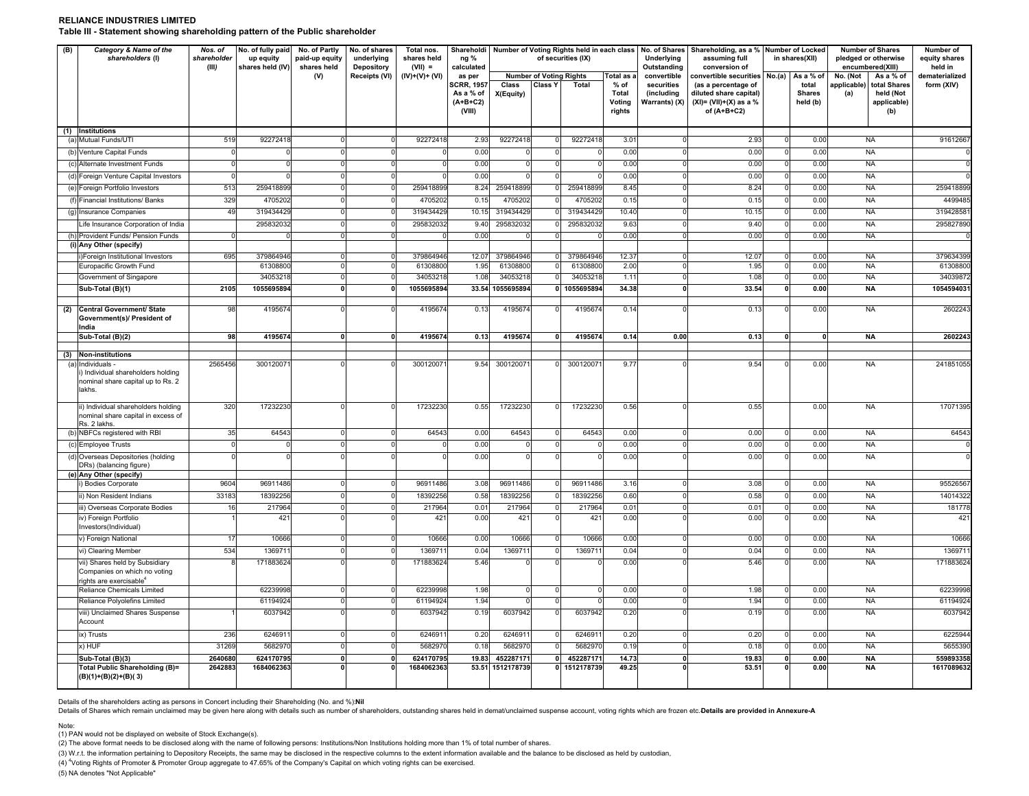#### **RELIANCE INDUSTRIES LIMITEDTable III - Statement showing shareholding pattern of the Public shareholder**

| (B)        | Category & Name of the<br>shareholders (I)                                                           | No. of fully paid<br>No. of shares<br>Total nos.<br>Nos. of<br>No. of Partly<br>shareholder<br>up equity<br>paid-up equity<br>underlying<br>shares held<br>(III)<br>shares held (IV)<br>shares held<br>Depository<br>$(VII) =$ |                       |              |               | Shareholdi<br>ng %<br>calculated |                                                       |                     | Number of Voting Rights held in each class<br>of securities (IX) |                      | No. of Shares Shareholding, as a % Number of Locked<br>Underlying<br>assuming full<br>Outstanding<br>conversion of |                                           |                                                                                             | in shares(XII) |                                    | <b>Number of Shares</b><br>pledged or otherwise<br>encumbered(XIII) | Number of<br>equity shares<br>held in           |                     |
|------------|------------------------------------------------------------------------------------------------------|--------------------------------------------------------------------------------------------------------------------------------------------------------------------------------------------------------------------------------|-----------------------|--------------|---------------|----------------------------------|-------------------------------------------------------|---------------------|------------------------------------------------------------------|----------------------|--------------------------------------------------------------------------------------------------------------------|-------------------------------------------|---------------------------------------------------------------------------------------------|----------------|------------------------------------|---------------------------------------------------------------------|-------------------------------------------------|---------------------|
|            |                                                                                                      |                                                                                                                                                                                                                                |                       | (V)          | Receipts (VI) | $(IV)+(V)+(VI)$                  | as per                                                |                     | <b>Number of Voting Rights</b>                                   |                      | Total as a                                                                                                         | convertible                               | convertible securities                                                                      |                | No.(a) As a % of                   | No. (Not                                                            | As a % of                                       | dematerialized      |
|            |                                                                                                      |                                                                                                                                                                                                                                |                       |              |               |                                  | <b>SCRR, 195</b><br>As a % of<br>$(A+B+C2)$<br>(VIII) | Class<br>X(Equity)  | <b>Class Y</b>                                                   | Total                | % of<br>Total<br>Voting<br>rights                                                                                  | securities<br>(including<br>Warrants) (X) | (as a percentage of<br>diluted share capital)<br>$(XI) = (VII)+(X)$ as a %<br>of $(A+B+C2)$ |                | total<br><b>Shares</b><br>held (b) | applicable)<br>(a)                                                  | total Shares<br>held (Not<br>applicable)<br>(b) | form (XIV)          |
|            | (1) Institutions                                                                                     |                                                                                                                                                                                                                                |                       |              |               |                                  |                                                       |                     |                                                                  |                      |                                                                                                                    |                                           |                                                                                             |                |                                    |                                                                     |                                                 |                     |
|            | (a) Mutual Funds/UTI                                                                                 | 519                                                                                                                                                                                                                            | 92272418              |              |               | 92272418                         | 2.9                                                   | 9227241             |                                                                  | 92272418             | 3.01                                                                                                               |                                           | 2.93                                                                                        |                | 0.00                               |                                                                     | <b>NA</b>                                       | 91612667            |
| (b)        | Venture Capital Funds                                                                                |                                                                                                                                                                                                                                |                       |              |               |                                  | 0.00                                                  |                     |                                                                  |                      | 0.00                                                                                                               |                                           | 0.00                                                                                        |                | 0.00                               |                                                                     | <b>NA</b>                                       |                     |
|            | (c) Alternate Investment Funds                                                                       |                                                                                                                                                                                                                                |                       |              |               |                                  | 0.00                                                  |                     |                                                                  |                      | 0.00                                                                                                               |                                           | 0.00                                                                                        |                | 0.00                               |                                                                     | <b>NA</b>                                       |                     |
|            | (d) Foreign Venture Capital Investors                                                                | $\Omega$                                                                                                                                                                                                                       |                       |              |               |                                  | 0.00                                                  |                     |                                                                  |                      | 0.00                                                                                                               |                                           | 0.00                                                                                        |                | 0.00                               |                                                                     | NA                                              |                     |
|            | (e) Foreign Portfolio Investors                                                                      | 513                                                                                                                                                                                                                            | 259418899             |              |               | 259418899                        | 8.24                                                  | 25941889            |                                                                  | 259418899            | 8.45                                                                                                               |                                           | 8.24                                                                                        |                | 0.00                               |                                                                     | <b>NA</b>                                       | 259418899           |
|            | (f) Financial Institutions/ Banks                                                                    | 329                                                                                                                                                                                                                            | 4705202               |              |               | 4705202                          | 0.15                                                  | 470520              |                                                                  | 4705202              | 0.15                                                                                                               |                                           | 0.15                                                                                        |                | 0.00                               |                                                                     | <b>NA</b>                                       | 4499485             |
|            | (g) Insurance Companies                                                                              | 49                                                                                                                                                                                                                             | 319434429             |              |               | 319434429                        | 10.15                                                 | 31943442            |                                                                  | 31943442             | 10.40                                                                                                              |                                           | 10.15                                                                                       |                | 0.00                               |                                                                     | <b>NA</b>                                       | 31942858            |
|            | Life Insurance Corporation of India                                                                  |                                                                                                                                                                                                                                | 295832032             |              |               | 29583203                         | 9.40                                                  | 295832032           |                                                                  | 29583203             | 9.63                                                                                                               |                                           | 9.40                                                                                        |                | 0.00                               |                                                                     | <b>NA</b>                                       | 295827890           |
|            | (h) Provident Funds/ Pension Funds                                                                   | $\Omega$                                                                                                                                                                                                                       |                       |              |               |                                  | 0.00                                                  |                     |                                                                  |                      | 0.00                                                                                                               |                                           | 0.00                                                                                        |                | 0.00                               |                                                                     | <b>NA</b>                                       |                     |
|            | (i) Any Other (specify)                                                                              |                                                                                                                                                                                                                                |                       |              |               |                                  |                                                       |                     |                                                                  |                      |                                                                                                                    |                                           |                                                                                             |                |                                    |                                                                     |                                                 |                     |
|            | Foreign Institutional Investors<br>Europacific Growth Fund                                           | 695                                                                                                                                                                                                                            | 379864946<br>61308800 |              |               | 379864946<br>6130880             | 12.07<br>1.95                                         | 37986494<br>6130880 |                                                                  | 379864946<br>6130880 | 12.3<br>2.00                                                                                                       |                                           | 12.07<br>1.95                                                                               |                | 0.00<br>0.00                       |                                                                     | NA<br><b>NA</b>                                 | 37963439<br>6130880 |
|            | Government of Singapore                                                                              |                                                                                                                                                                                                                                | 3405321               |              |               | 3405321                          | 1.08                                                  | 3405321             |                                                                  | 3405321              | $1.1$ <sup>*</sup>                                                                                                 |                                           | 1.08                                                                                        |                | 0.00                               |                                                                     | <b>NA</b>                                       | 3403987             |
|            | Sub-Total (B)(1)                                                                                     | 2105                                                                                                                                                                                                                           | 1055695894            |              |               | 1055695894                       | 33.54                                                 | 1055695894          |                                                                  | 1055695894           | 34.38                                                                                                              |                                           | 33.54                                                                                       |                | 0.00                               |                                                                     | <b>NA</b>                                       | 105459403           |
|            |                                                                                                      |                                                                                                                                                                                                                                |                       |              |               |                                  |                                                       |                     |                                                                  |                      |                                                                                                                    |                                           |                                                                                             |                |                                    |                                                                     |                                                 |                     |
| (2)        | Central Government/ State<br>Government(s)/ President of<br>India                                    | 98                                                                                                                                                                                                                             | 4195674               |              |               | 4195674                          | 0.13                                                  | 4195674             |                                                                  | 4195674              | 0.14                                                                                                               |                                           | 0.13                                                                                        |                | 0.00                               |                                                                     | <b>NA</b>                                       | 260224              |
|            | Sub-Total (B)(2)                                                                                     | 98                                                                                                                                                                                                                             | 4195674               |              |               | 4195674                          | 0.13                                                  | 4195674             |                                                                  | 4195674              | 0.14                                                                                                               | 0.00                                      | 0.13                                                                                        |                |                                    |                                                                     | ΝA                                              | 2602243             |
|            |                                                                                                      |                                                                                                                                                                                                                                |                       |              |               |                                  |                                                       |                     |                                                                  |                      |                                                                                                                    |                                           |                                                                                             |                |                                    |                                                                     |                                                 |                     |
| (3)<br>(a) | <b>Non-institutions</b><br>Individuals                                                               | 2565456                                                                                                                                                                                                                        | 30012007              |              |               | 30012007                         | 9.54                                                  | 30012007            |                                                                  | 30012007             | 9.77                                                                                                               |                                           | 9.54                                                                                        |                | 0.00                               |                                                                     | <b>NA</b>                                       | 241851055           |
|            | i) Individual shareholders holding<br>nominal share capital up to Rs. 2<br>lakhs.                    |                                                                                                                                                                                                                                |                       |              |               |                                  |                                                       |                     |                                                                  |                      |                                                                                                                    |                                           |                                                                                             |                |                                    |                                                                     |                                                 |                     |
|            | ii) Individual shareholders holding<br>nominal share capital in excess of<br>Rs. 2 lakhs             | 320                                                                                                                                                                                                                            | 17232230              |              |               | 1723223                          | 0.55                                                  | 1723223             |                                                                  | 17232230             | 0.56                                                                                                               |                                           | 0.55                                                                                        |                | 0.00                               |                                                                     | <b>NA</b>                                       | 17071395            |
|            | (b) NBFCs registered with RBI                                                                        | 35                                                                                                                                                                                                                             | 64543                 |              |               | 64543                            | 0.00                                                  | 6454                |                                                                  | 6454                 | 0.00                                                                                                               |                                           | 0.00                                                                                        |                | 0.00                               |                                                                     | <b>NA</b>                                       | 64543               |
|            | (c) Employee Trusts                                                                                  | $\Omega$                                                                                                                                                                                                                       |                       |              |               |                                  | 0.00                                                  |                     |                                                                  |                      | 0.00                                                                                                               |                                           | 0.00                                                                                        |                | 0.00                               |                                                                     | <b>NA</b>                                       |                     |
|            | (d) Overseas Depositories (holding<br>DRs) (balancing figure)                                        | $\Omega$                                                                                                                                                                                                                       |                       |              |               |                                  | 0.00                                                  |                     |                                                                  |                      | 0.00                                                                                                               |                                           | 0.00                                                                                        |                | 0.00                               |                                                                     | <b>NA</b>                                       |                     |
|            | (e) Any Other (specify)<br>i) Bodies Corporate                                                       | 9604                                                                                                                                                                                                                           | 96911486              |              |               | 96911486                         | 3.08                                                  | 9691148             |                                                                  | 96911486             | 3.16                                                                                                               |                                           | 3.08                                                                                        |                | 0.00                               |                                                                     | <b>NA</b>                                       | 9552656             |
|            | ii) Non Resident Indians                                                                             | 33183                                                                                                                                                                                                                          | 1839225               |              |               | 1839225                          | 0.58                                                  | 1839225             |                                                                  | 1839225              | 0.60                                                                                                               |                                           | 0.58                                                                                        |                | 0.00                               |                                                                     | <b>NA</b>                                       | 14014322            |
|            | iii) Overseas Corporate Bodies                                                                       | 16                                                                                                                                                                                                                             | 217964                |              |               | 217964                           | $0.0^{\circ}$                                         | 217964              |                                                                  | 217964               | 0.01                                                                                                               |                                           | 0.01                                                                                        |                | 0.00                               |                                                                     | <b>NA</b>                                       | 181778              |
|            | iv) Foreign Portfolio<br>Investors(Individual)                                                       |                                                                                                                                                                                                                                | 42 <sup>1</sup>       |              |               | 421                              | 0.00                                                  | 421                 |                                                                  | 421                  | 0.00                                                                                                               |                                           | 0.00                                                                                        | $\Omega$       | 0.00                               |                                                                     | <b>NA</b>                                       | 421                 |
|            | v) Foreign National                                                                                  | 17                                                                                                                                                                                                                             | 10666                 |              |               | 10666                            | 0.00                                                  | 10666               |                                                                  | 10666                | 0.00                                                                                                               |                                           | 0.00                                                                                        |                | 0.00                               |                                                                     | <b>NA</b>                                       | 10666               |
|            | vi) Clearing Member                                                                                  | 534                                                                                                                                                                                                                            | 136971                |              |               | 136971                           | 0.04                                                  | 136971              |                                                                  | 1369711              | 0.04                                                                                                               |                                           | 0.04                                                                                        |                | 0.00                               |                                                                     | <b>NA</b>                                       | 136971              |
|            | vii) Shares held by Subsidiary<br>Companies on which no voting<br>ights are exercisable <sup>4</sup> |                                                                                                                                                                                                                                | 171883624             |              |               | 171883624                        | 5.46                                                  |                     |                                                                  |                      | 0.00                                                                                                               |                                           | 5.46                                                                                        |                | 0.00                               |                                                                     | <b>NA</b>                                       | 171883624           |
|            | Reliance Chemicals Limited                                                                           |                                                                                                                                                                                                                                | 62239998              |              |               | 6223999                          | 1.98                                                  |                     |                                                                  |                      | 0.00                                                                                                               |                                           | 1.98                                                                                        |                | 0.00                               |                                                                     | <b>NA</b>                                       | 62239998            |
|            | Reliance Polyolefins Limited                                                                         |                                                                                                                                                                                                                                | 61194924              |              |               | 6119492                          | 1.94                                                  |                     |                                                                  |                      | 0.00                                                                                                               |                                           | 1.94                                                                                        |                | 0.00                               |                                                                     | <b>NA</b>                                       | 61194924            |
|            | viii) Unclaimed Shares Suspense<br>Account                                                           |                                                                                                                                                                                                                                | 6037942               |              |               | 6037942                          | 0.19                                                  | 6037942             |                                                                  | 6037942              | 0.20                                                                                                               |                                           | 0.19                                                                                        |                | 0.00                               |                                                                     | <b>NA</b>                                       | 6037942             |
|            | ix) Trusts                                                                                           | 236                                                                                                                                                                                                                            | 624691                |              |               | 624691                           | 0.20                                                  | 624691              |                                                                  | 624691               | 0.20                                                                                                               |                                           | 0.20                                                                                        |                | 0.00                               |                                                                     | <b>NA</b>                                       | 622594              |
|            | x) HUF                                                                                               | 31269                                                                                                                                                                                                                          | 5682970               |              |               | 5682970                          | 0.18                                                  | 568297              |                                                                  | 568297               | 0.19                                                                                                               |                                           | 0.18                                                                                        |                | 0.00                               |                                                                     | <b>NA</b>                                       | 565539              |
|            | Sub-Total (B)(3)                                                                                     | 2640680                                                                                                                                                                                                                        | 62417079              | $\mathbf{r}$ |               | 624170795                        | 19.8                                                  | 45228717            |                                                                  | 452287171            | 14.73                                                                                                              |                                           | 19.83                                                                                       | n              | 0.00                               |                                                                     | <b>NA</b>                                       | 559893358           |
|            | Total Public Shareholding (B)=<br>(B)(1)+(B)(2)+(B)(3)                                               | 2642883                                                                                                                                                                                                                        | 1684062363            |              |               | 1684062363                       | 53.51                                                 | 1512178739          |                                                                  | 0 1512178739         | 49.25                                                                                                              |                                           | 53.51                                                                                       |                | 0.00                               |                                                                     | <b>NA</b>                                       | 1617089632          |

Details of the shareholders acting as persons in Concert including their Shareholding (No. and %): **Nil**

Details of Shares which remain unclaimed may be given here along with details such as number of shareholders, outstanding shares held in demat/unclaimed suspense account, voting rights which are frozen etc. Details are pro

Note:

(1) PAN would not be displayed on website of Stock Exchange(s).

(2) The above format needs to be disclosed along with the name of following persons: Institutions/Non Institutions holding more than 1% of total number of shares.

(3) W.r.t. the information pertaining to Depository Receipts, the same may be disclosed in the respective columns to the extent information available and the balance to be disclosed as held by custodian,

(4) "Voting Rights of Promoter & Promoter Group aggregate to 47.65% of the Company's Capital on which voting rights can be exercised.

(5) NA denotes "Not Applicable"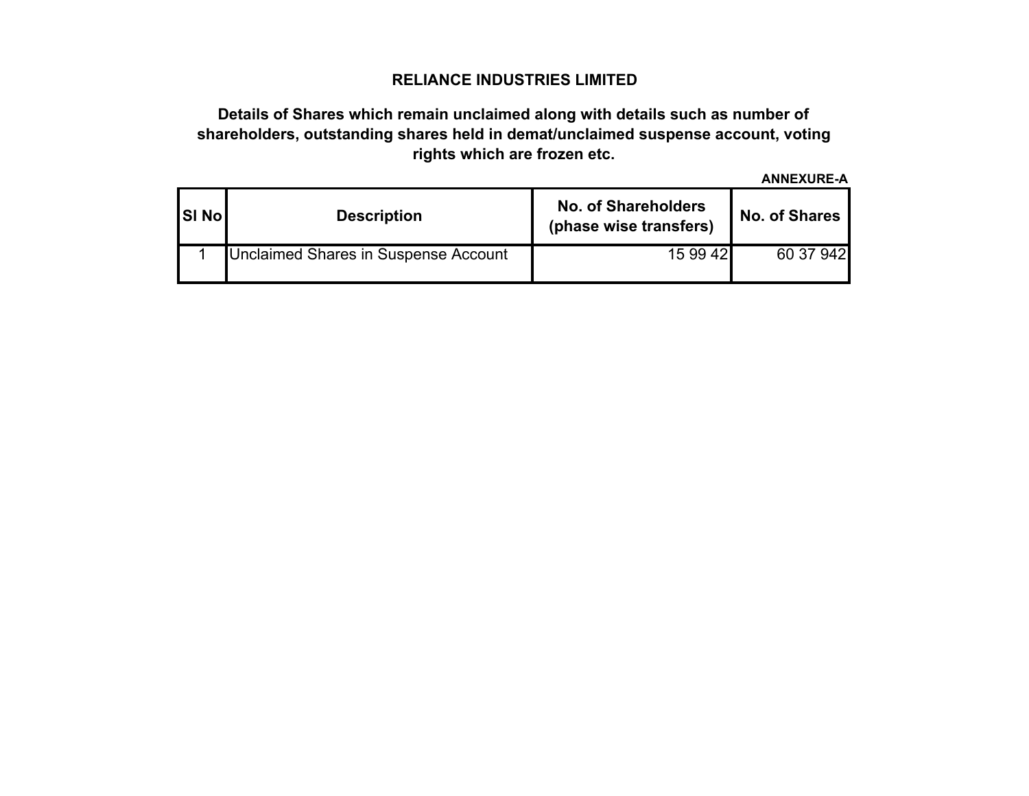## **RELIANCE INDUSTRIES LIMITED**

# **Details of Shares which remain unclaimed along with details such as number of shareholders, outstanding shares held in demat/unclaimed suspense account, voting rights which are frozen etc.**

**ANNEXURE-A**

| <b>SI No</b> | <b>Description</b>                   | <b>No. of Shareholders</b><br>(phase wise transfers) | <b>No. of Shares</b> |  |  |  |  |
|--------------|--------------------------------------|------------------------------------------------------|----------------------|--|--|--|--|
|              | Unclaimed Shares in Suspense Account | 15 99 42                                             | 60 37 942            |  |  |  |  |